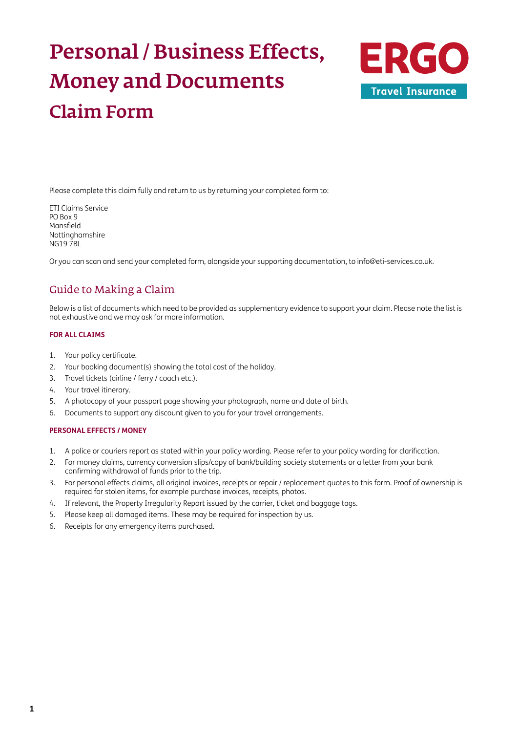# Personal / Business Effects, Money and Documents Claim Form



Please complete this claim fully and return to us by returning your completed form to:

ETI Claims Service PO Box 9 Mansfield Nottinghamshire NG19 7BL

Or you can scan and send your completed form, alongside your supporting documentation, to [info@eti-services.co.uk.](mailto:info%40eti-services.co.uk?subject=)

## Guide to Making a Claim

Below is a list of documents which need to be provided as supplementary evidence to support your claim. Please note the list is not exhaustive and we may ask for more information.

### **FOR ALL CLAIMS**

- 1. Your policy certificate.
- 2. Your booking document(s) showing the total cost of the holiday.
- 3. Travel tickets (airline / ferry / coach etc.).
- 4. Your travel itinerary.
- 5. A photocopy of your passport page showing your photograph, name and date of birth.
- 6. Documents to support any discount given to you for your travel arrangements.

### **PERSONAL EFFECTS / MONEY**

- 1. A police or couriers report as stated within your policy wording. Please refer to your policy wording for clarification.
- 2. For money claims, currency conversion slips/copy of bank/building society statements or a letter from your bank confirming withdrawal of funds prior to the trip.
- 3. For personal effects claims, all original invoices, receipts or repair / replacement quotes to this form. Proof of ownership is required for stolen items, for example purchase invoices, receipts, photos.
- 4. If relevant, the Property Irregularity Report issued by the carrier, ticket and baggage tags.
- 5. Please keep all damaged items. These may be required for inspection by us.
- 6. Receipts for any emergency items purchased.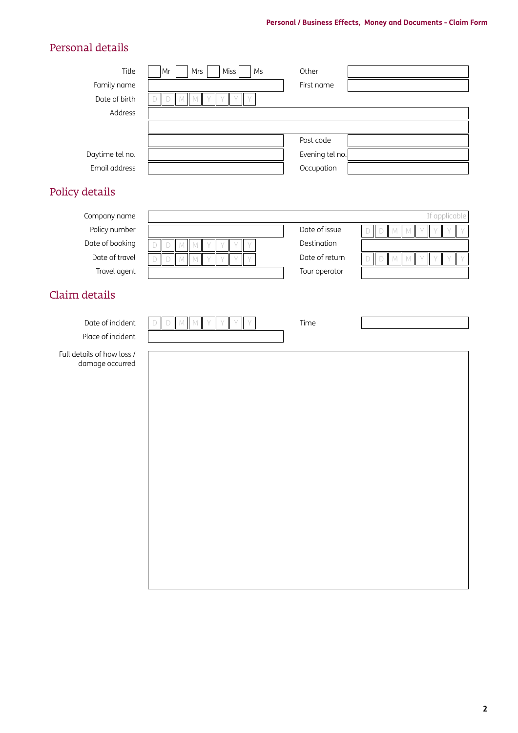## Personal details

| Title<br>Family name<br>Date of birth<br>Address                                   | Miss<br>Ms<br>Mr<br>Mrs<br>$M$ $M$<br>Y<br>Y<br>D<br>Y | Other<br>First name                                             |                                            |
|------------------------------------------------------------------------------------|--------------------------------------------------------|-----------------------------------------------------------------|--------------------------------------------|
| Daytime tel no.<br>Email address                                                   |                                                        | Post code<br>Evening tel no.<br>Occupation                      |                                            |
| Policy details                                                                     |                                                        |                                                                 |                                            |
| Company name<br>Policy number<br>Date of booking<br>Date of travel<br>Travel agent | M<br>$\mathbb{M}$<br>D<br>D<br>M<br>M                  | Date of issue<br>Destination<br>Date of return<br>Tour operator | If applicable<br>$D$ M<br>D<br>M<br>D<br>M |
| Claim details<br>Date of incident<br>Place of incident                             | MM<br>D                                                | Time                                                            |                                            |

Full details of how loss / damage occurred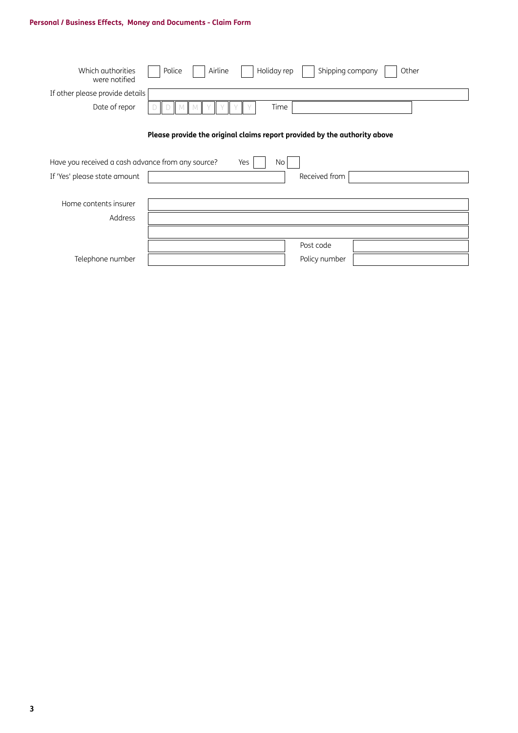## **Personal / Business Effects, Money and Documents - Claim Form**

| Which authorities<br>were notified                | Holiday rep<br>Airline<br>Shipping company<br>Police<br>Other             |
|---------------------------------------------------|---------------------------------------------------------------------------|
| If other please provide details                   |                                                                           |
| Date of repor                                     | Time<br>М                                                                 |
|                                                   | Please provide the original claims report provided by the authority above |
| Have you received a cash advance from any source? | No<br>Yes                                                                 |
| If 'Yes' please state amount                      | Received from                                                             |
|                                                   |                                                                           |
| Home contents insurer                             |                                                                           |
| Address                                           |                                                                           |
|                                                   |                                                                           |
|                                                   | Post code                                                                 |
| Telephone number                                  | Policy number                                                             |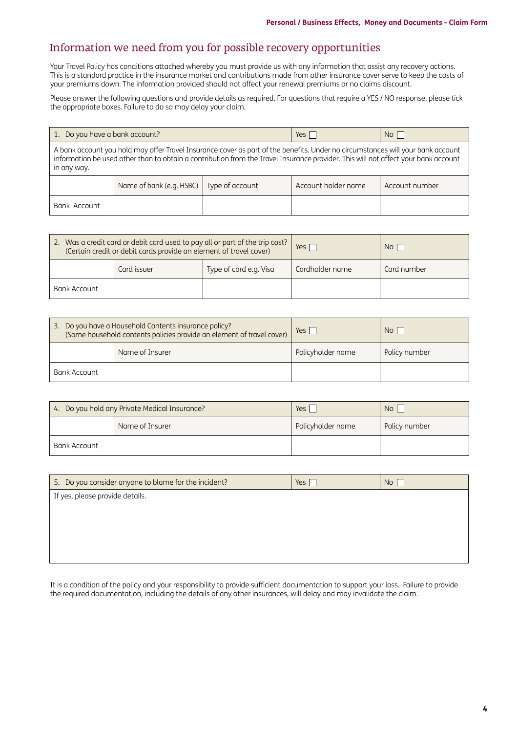## Information we need from you for possible recovery opportunities

Your Travel Policy has conditions attached whereby you must provide us with any information that assist any recovery actions. This is a standard practice in the insurance market and contributions made from other insurance cover serve to keep the costs of your premiums down. The information provided should not affect your renewal premiums or no claims discount.

Please answer the following questions and provide details as required. For questions that require a YES / NO response, please tick the appropriate boxes. Failure to do so may delay your claim.

| 1. Do you have a bank account?                                                                                                                                                                                                                                                       |                                             |  | Yes $\Box$          | No             |
|--------------------------------------------------------------------------------------------------------------------------------------------------------------------------------------------------------------------------------------------------------------------------------------|---------------------------------------------|--|---------------------|----------------|
| A bank account you hold may offer Travel Insurance cover as part of the benefits. Under no circumstances will your bank account<br>information be used other than to obtain a contribution from the Travel Insurance provider. This will not affect your bank account<br>in any way. |                                             |  |                     |                |
|                                                                                                                                                                                                                                                                                      | Name of bank (e.g. HSBC)<br>Type of account |  | Account holder name | Account number |
| Bank Account                                                                                                                                                                                                                                                                         |                                             |  |                     |                |

| 2. Was a credit card or debit card used to pay all or part of the trip cost?<br>(Certain credit or debit cards provide an element of travel cover) |             |                        | Yes $\Gamma$    | No <sub>1</sub> |
|----------------------------------------------------------------------------------------------------------------------------------------------------|-------------|------------------------|-----------------|-----------------|
|                                                                                                                                                    | Card issuer | Type of card e.g. Visa | Cardholder name | Card number     |
| Bank Account                                                                                                                                       |             |                        |                 |                 |

| 3. Do you have a Household Contents insurance policy?<br>(Some household contents policies provide an element of travel cover) |  | $Yes \mid$        | No <sub>1</sub> |
|--------------------------------------------------------------------------------------------------------------------------------|--|-------------------|-----------------|
| Name of Insurer                                                                                                                |  | Policyholder name | Policy number   |
| Bank Account                                                                                                                   |  |                   |                 |

| 4. Do you hold any Private Medical Insurance? |                 | Yes i             | No <sub>1</sub> |
|-----------------------------------------------|-----------------|-------------------|-----------------|
|                                               | Name of Insurer | Policyholder name | Policy number   |
| Bank Account                                  |                 |                   |                 |

| 5. Do you consider anyone to blame for the incident? | Yes [ | No |
|------------------------------------------------------|-------|----|
| If yes, please provide details.                      |       |    |
|                                                      |       |    |
|                                                      |       |    |
|                                                      |       |    |
|                                                      |       |    |

It is a condition of the policy and your responsibility to provide sufficient documentation to support your loss. Failure to provide the required documentation, including the details of any other insurances, will delay and may invalidate the claim.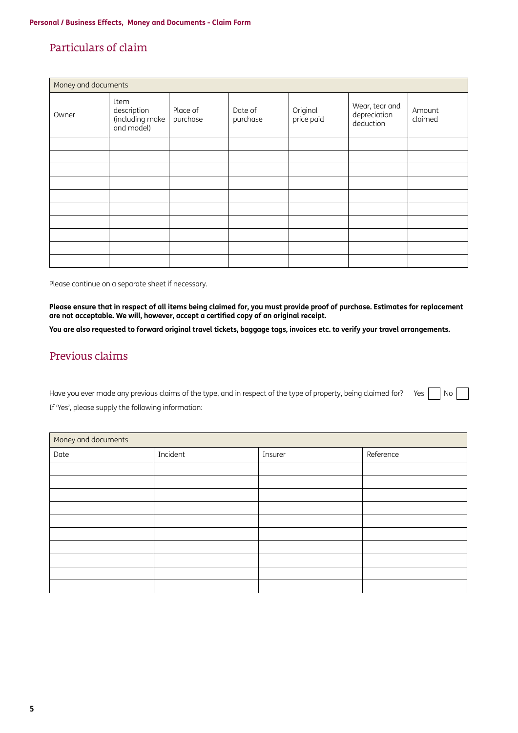## Particulars of claim

| Money and documents |                                                      |                      |                     |                        |                                             |                   |
|---------------------|------------------------------------------------------|----------------------|---------------------|------------------------|---------------------------------------------|-------------------|
| Owner               | Item<br>description<br>(including make<br>and model) | Place of<br>purchase | Date of<br>purchase | Original<br>price paid | Wear, tear and<br>depreciation<br>deduction | Amount<br>claimed |
|                     |                                                      |                      |                     |                        |                                             |                   |
|                     |                                                      |                      |                     |                        |                                             |                   |
|                     |                                                      |                      |                     |                        |                                             |                   |
|                     |                                                      |                      |                     |                        |                                             |                   |
|                     |                                                      |                      |                     |                        |                                             |                   |
|                     |                                                      |                      |                     |                        |                                             |                   |
|                     |                                                      |                      |                     |                        |                                             |                   |
|                     |                                                      |                      |                     |                        |                                             |                   |
|                     |                                                      |                      |                     |                        |                                             |                   |
|                     |                                                      |                      |                     |                        |                                             |                   |

Please continue on a separate sheet if necessary.

**Please ensure that in respect of all items being claimed for, you must provide proof of purchase. Estimates for replacement are not acceptable. We will, however, accept a certified copy of an original receipt.**

**You are also requested to forward original travel tickets, baggage tags, invoices etc. to verify your travel arrangements.**

## Previous claims

Have you ever made any previous claims of the type, and in respect of the type of property, being claimed for? Yes  $|$  No If 'Yes', please supply the following information:

| Money and documents |          |         |           |
|---------------------|----------|---------|-----------|
| Date                | Incident | Insurer | Reference |
|                     |          |         |           |
|                     |          |         |           |
|                     |          |         |           |
|                     |          |         |           |
|                     |          |         |           |
|                     |          |         |           |
|                     |          |         |           |
|                     |          |         |           |
|                     |          |         |           |
|                     |          |         |           |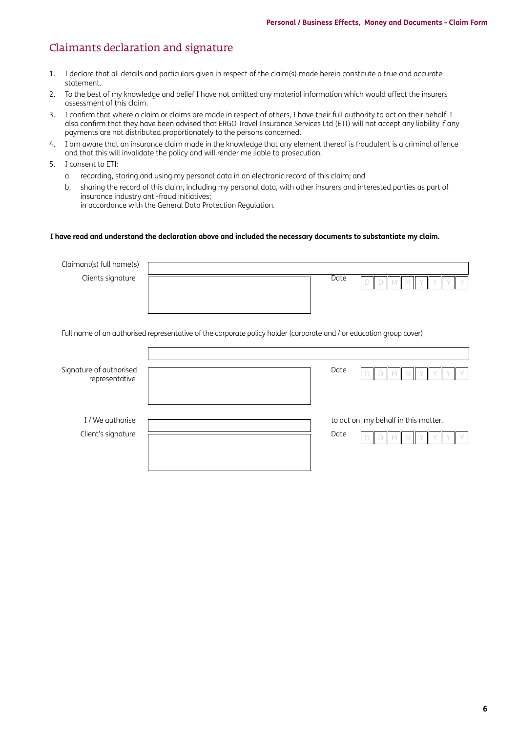## Claimants declaration and signature

- 1. I declare that all details and particulars given in respect of the claim(s) made herein constitute a true and accurate statement.
- 2. To the best of my knowledge and belief I have not omitted any material information which would affect the insurers assessment of this claim.
- 3. I confirm that where a claim or claims are made in respect of others, I have their full authority to act on their behalf. I also confirm that they have been advised that ERGO Travel Insurance Services Ltd (ETI) will not accept any liability if any payments are not distributed proportionately to the persons concerned.
- 4. I am aware that an insurance claim made in the knowledge that any element thereof is fraudulent is a criminal offence and that this will invalidate the policy and will render me liable to prosecution.
- 5. I consent to ETI:
	- a. recording, storing and using my personal data in an electronic record of this claim; and
	- b. sharing the record of this claim, including my personal data, with other insurers and interested parties as part of insurance industry anti-fraud initiatives; in accordance with the General Data Protection Regulation.

#### **I have read and understand the declaration above and included the necessary documents to substantiate my claim.**

| Claimant(s) full name(s)                  |                                                                                                                     |
|-------------------------------------------|---------------------------------------------------------------------------------------------------------------------|
| Clients signature                         | Date                                                                                                                |
|                                           | Full name of an authorised representative of the corporate policy holder (corporate and / or education group cover) |
|                                           |                                                                                                                     |
| Signature of authorised<br>representative | Date                                                                                                                |
| I / We authorise                          | to act on my behalf in this matter.                                                                                 |
| Client's signature                        | Date                                                                                                                |
|                                           |                                                                                                                     |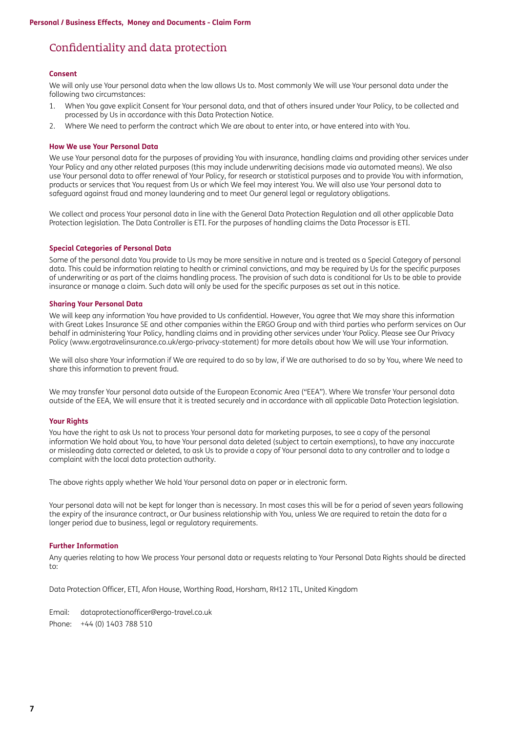## Confidentiality and data protection

#### **Consent**

We will only use Your personal data when the law allows Us to. Most commonly We will use Your personal data under the following two circumstances:

- 1. When You gave explicit Consent for Your personal data, and that of others insured under Your Policy, to be collected and processed by Us in accordance with this Data Protection Notice.
- 2. Where We need to perform the contract which We are about to enter into, or have entered into with You.

### **How We use Your Personal Data**

We use Your personal data for the purposes of providing You with insurance, handling claims and providing other services under Your Policy and any other related purposes (this may include underwriting decisions made via automated means). We also use Your personal data to offer renewal of Your Policy, for research or statistical purposes and to provide You with information, products or services that You request from Us or which We feel may interest You. We will also use Your personal data to safeguard against fraud and money laundering and to meet Our general legal or regulatory obligations.

We collect and process Your personal data in line with the General Data Protection Regulation and all other applicable Data Protection legislation. The Data Controller is ETI. For the purposes of handling claims the Data Processor is ETI.

#### **Special Categories of Personal Data**

Some of the personal data You provide to Us may be more sensitive in nature and is treated as a Special Category of personal data. This could be information relating to health or criminal convictions, and may be required by Us for the specific purposes of underwriting or as part of the claims handling process. The provision of such data is conditional for Us to be able to provide insurance or manage a claim. Such data will only be used for the specific purposes as set out in this notice.

#### **Sharing Your Personal Data**

We will keep any information You have provided to Us confidential. However, You agree that We may share this information with Great Lakes Insurance SE and other companies within the ERGO Group and with third parties who perform services on Our behalf in administering Your Policy, handling claims and in providing other services under Your Policy. Please see Our Privacy Policy [\(www.ergotravelinsurance.co.uk/ergo-privacy-statement](http://www.ergotravelinsurance.co.uk/ergo-privacy-statement)) for more details about how We will use Your information.

We will also share Your information if We are required to do so by law, if We are authorised to do so by You, where We need to share this information to prevent fraud.

We may transfer Your personal data outside of the European Economic Area ("EEA"). Where We transfer Your personal data outside of the EEA, We will ensure that it is treated securely and in accordance with all applicable Data Protection legislation.

#### **Your Rights**

You have the right to ask Us not to process Your personal data for marketing purposes, to see a copy of the personal information We hold about You, to have Your personal data deleted (subject to certain exemptions), to have any inaccurate or misleading data corrected or deleted, to ask Us to provide a copy of Your personal data to any controller and to lodge a complaint with the local data protection authority.

The above rights apply whether We hold Your personal data on paper or in electronic form.

Your personal data will not be kept for longer than is necessary. In most cases this will be for a period of seven years following the expiry of the insurance contract, or Our business relationship with You, unless We are required to retain the data for a longer period due to business, legal or regulatory requirements.

#### **Further Information**

Any queries relating to how We process Your personal data or requests relating to Your Personal Data Rights should be directed to:

Data Protection Officer, ETI, Afon House, Worthing Road, Horsham, RH12 1TL, United Kingdom

Email: [dataprotectionofficer@ergo-travel.co.uk](mailto:dataprotectionofficer%40ergo-travel.co.uk?subject=) Phone: +44 (0) 1403 788 510